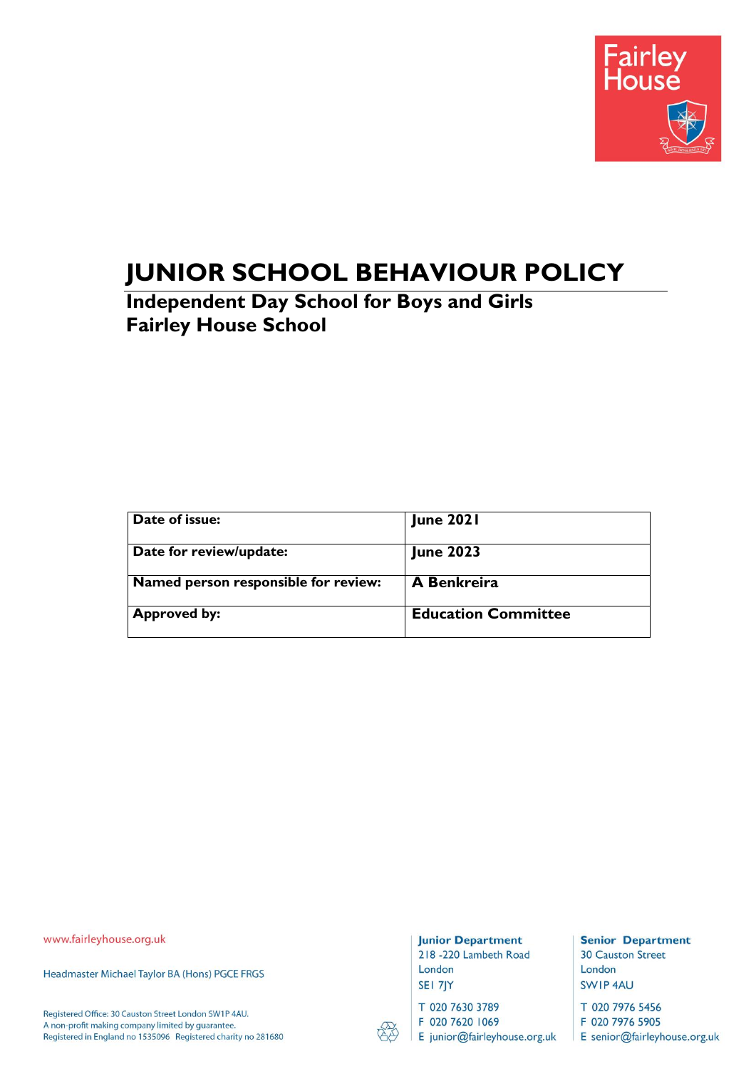

# **JUNIOR SCHOOL BEHAVIOUR POLICY**

**Independent Day School for Boys and Girls Fairley House School**

| Date of issue:                       | <b>June 2021</b>           |
|--------------------------------------|----------------------------|
| Date for review/update:              | <b>June 2023</b>           |
| Named person responsible for review: | A Benkreira                |
| <b>Approved by:</b>                  | <b>Education Committee</b> |

www.fairleyhouse.org.uk

Headmaster Michael Taylor BA (Hons) PGCE FRGS

Registered Office: 30 Causton Street London SW1P 4AU. A non-profit making company limited by guarantee. Registered in England no 1535096 Registered charity no 281680

#### **Junior Department**

218 -220 Lambeth Road London SEI 7JY

T 020 7630 3789

F 020 7620 1069

E junior@fairleyhouse.org.uk

**Senior Department 30 Causton Street** London SWIP 4AU

T 020 7976 5456

F 020 7976 5905 E senior@fairleyhouse.org.uk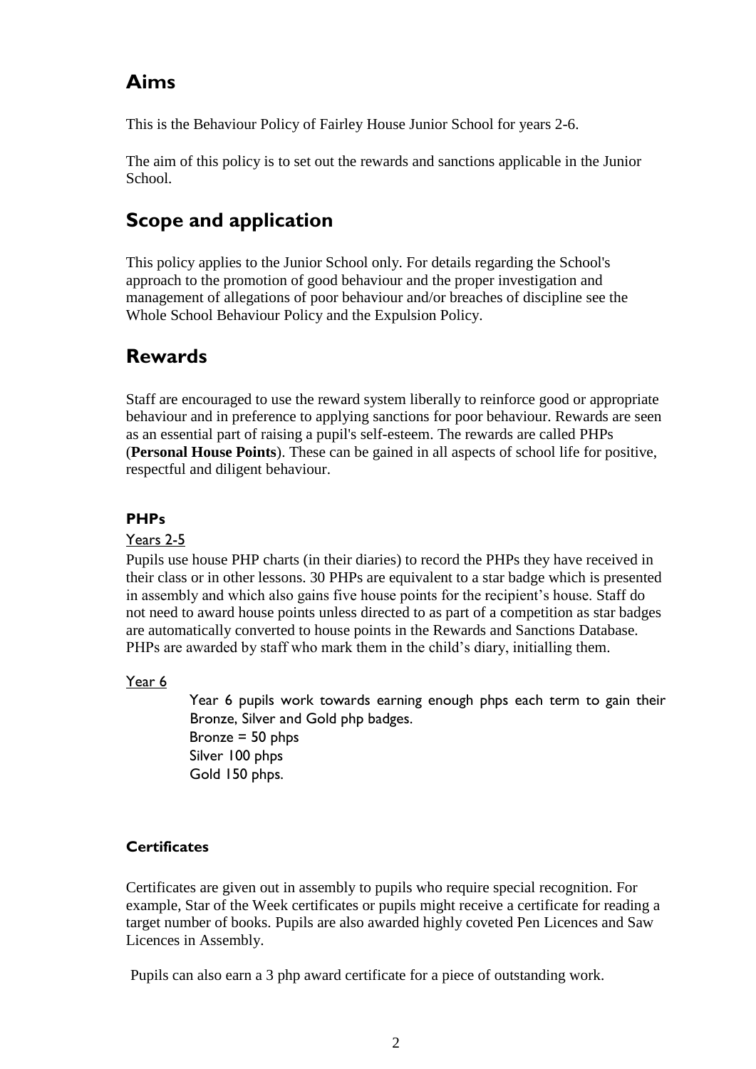# **Aims**

This is the Behaviour Policy of Fairley House Junior School for years 2-6.

The aim of this policy is to set out the rewards and sanctions applicable in the Junior School.

# **Scope and application**

This policy applies to the Junior School only. For details regarding the School's approach to the promotion of good behaviour and the proper investigation and management of allegations of poor behaviour and/or breaches of discipline see the Whole School Behaviour Policy and the Expulsion Policy.

# **Rewards**

Staff are encouraged to use the reward system liberally to reinforce good or appropriate behaviour and in preference to applying sanctions for poor behaviour. Rewards are seen as an essential part of raising a pupil's self-esteem. The rewards are called PHPs (**Personal House Points**). These can be gained in all aspects of school life for positive, respectful and diligent behaviour.

# **PHPs**

#### Years 2-5

Pupils use house PHP charts (in their diaries) to record the PHPs they have received in their class or in other lessons. 30 PHPs are equivalent to a star badge which is presented in assembly and which also gains five house points for the recipient's house. Staff do not need to award house points unless directed to as part of a competition as star badges are automatically converted to house points in the Rewards and Sanctions Database. PHPs are awarded by staff who mark them in the child's diary, initialling them.

#### Year 6

Year 6 pupils work towards earning enough phps each term to gain their Bronze, Silver and Gold php badges. Bronze = 50 phps Silver 100 phps Gold 150 phps.

# **Certificates**

Certificates are given out in assembly to pupils who require special recognition. For example, Star of the Week certificates or pupils might receive a certificate for reading a target number of books. Pupils are also awarded highly coveted Pen Licences and Saw Licences in Assembly.

Pupils can also earn a 3 php award certificate for a piece of outstanding work.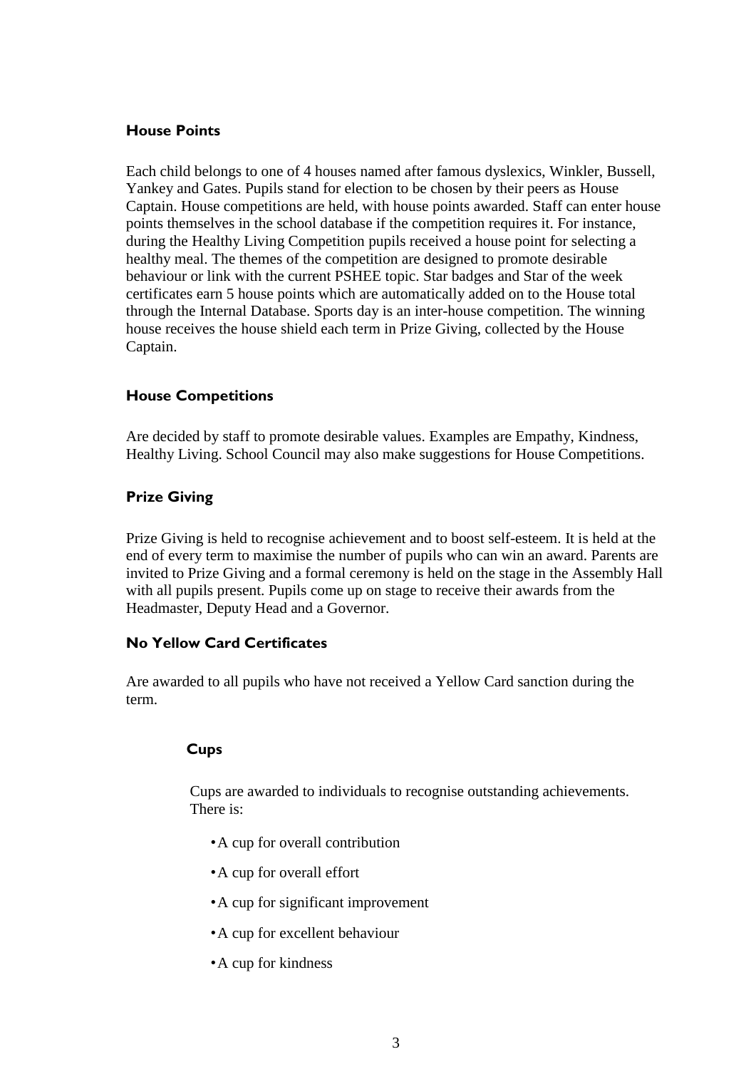#### **House Points**

Each child belongs to one of 4 houses named after famous dyslexics, Winkler, Bussell, Yankey and Gates. Pupils stand for election to be chosen by their peers as House Captain. House competitions are held, with house points awarded. Staff can enter house points themselves in the school database if the competition requires it. For instance, during the Healthy Living Competition pupils received a house point for selecting a healthy meal. The themes of the competition are designed to promote desirable behaviour or link with the current PSHEE topic. Star badges and Star of the week certificates earn 5 house points which are automatically added on to the House total through the Internal Database. Sports day is an inter-house competition. The winning house receives the house shield each term in Prize Giving, collected by the House Captain.

#### **House Competitions**

Are decided by staff to promote desirable values. Examples are Empathy, Kindness, Healthy Living. School Council may also make suggestions for House Competitions.

#### **Prize Giving**

Prize Giving is held to recognise achievement and to boost self-esteem. It is held at the end of every term to maximise the number of pupils who can win an award. Parents are invited to Prize Giving and a formal ceremony is held on the stage in the Assembly Hall with all pupils present. Pupils come up on stage to receive their awards from the Headmaster, Deputy Head and a Governor.

### **No Yellow Card Certificates**

Are awarded to all pupils who have not received a Yellow Card sanction during the term.

#### **Cups**

Cups are awarded to individuals to recognise outstanding achievements. There is:

- •A cup for overall contribution
- •A cup for overall effort
- •A cup for significant improvement
- •A cup for excellent behaviour
- •A cup for kindness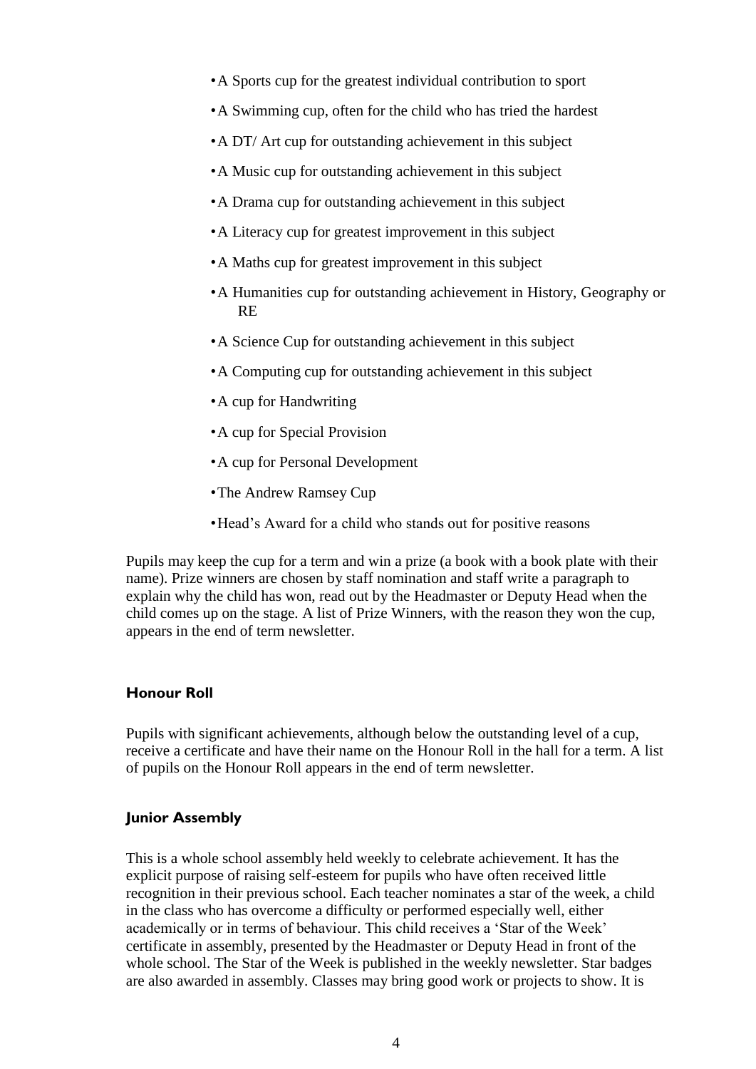- •A Sports cup for the greatest individual contribution to sport
- •A Swimming cup, often for the child who has tried the hardest
- •A DT/ Art cup for outstanding achievement in this subject
- •A Music cup for outstanding achievement in this subject
- •A Drama cup for outstanding achievement in this subject
- •A Literacy cup for greatest improvement in this subject
- •A Maths cup for greatest improvement in this subject
- •A Humanities cup for outstanding achievement in History, Geography or RE
- •A Science Cup for outstanding achievement in this subject
- •A Computing cup for outstanding achievement in this subject
- •A cup for Handwriting
- •A cup for Special Provision
- •A cup for Personal Development
- •The Andrew Ramsey Cup
- •Head's Award for a child who stands out for positive reasons

Pupils may keep the cup for a term and win a prize (a book with a book plate with their name). Prize winners are chosen by staff nomination and staff write a paragraph to explain why the child has won, read out by the Headmaster or Deputy Head when the child comes up on the stage. A list of Prize Winners, with the reason they won the cup, appears in the end of term newsletter.

#### **Honour Roll**

Pupils with significant achievements, although below the outstanding level of a cup, receive a certificate and have their name on the Honour Roll in the hall for a term. A list of pupils on the Honour Roll appears in the end of term newsletter.

#### **Junior Assembly**

This is a whole school assembly held weekly to celebrate achievement. It has the explicit purpose of raising self-esteem for pupils who have often received little recognition in their previous school. Each teacher nominates a star of the week, a child in the class who has overcome a difficulty or performed especially well, either academically or in terms of behaviour. This child receives a 'Star of the Week' certificate in assembly, presented by the Headmaster or Deputy Head in front of the whole school. The Star of the Week is published in the weekly newsletter. Star badges are also awarded in assembly. Classes may bring good work or projects to show. It is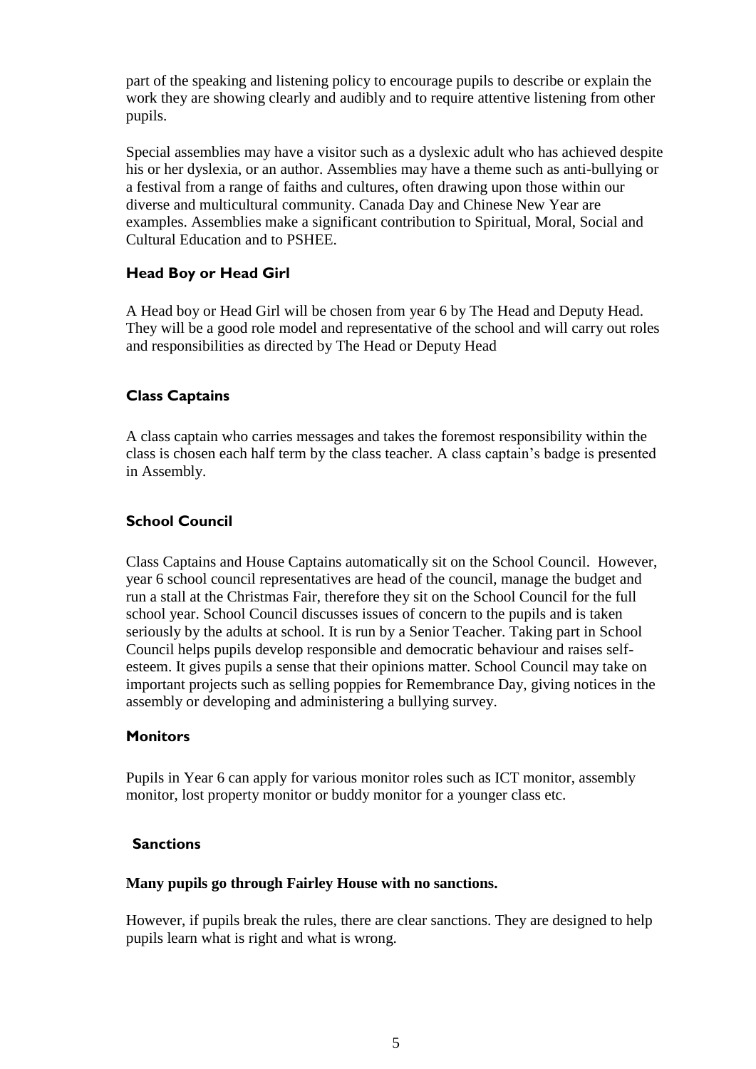part of the speaking and listening policy to encourage pupils to describe or explain the work they are showing clearly and audibly and to require attentive listening from other pupils.

Special assemblies may have a visitor such as a dyslexic adult who has achieved despite his or her dyslexia, or an author. Assemblies may have a theme such as anti-bullying or a festival from a range of faiths and cultures, often drawing upon those within our diverse and multicultural community. Canada Day and Chinese New Year are examples. Assemblies make a significant contribution to Spiritual, Moral, Social and Cultural Education and to PSHEE.

### **Head Boy or Head Girl**

A Head boy or Head Girl will be chosen from year 6 by The Head and Deputy Head. They will be a good role model and representative of the school and will carry out roles and responsibilities as directed by The Head or Deputy Head

### **Class Captains**

A class captain who carries messages and takes the foremost responsibility within the class is chosen each half term by the class teacher. A class captain's badge is presented in Assembly.

#### **School Council**

Class Captains and House Captains automatically sit on the School Council. However, year 6 school council representatives are head of the council, manage the budget and run a stall at the Christmas Fair, therefore they sit on the School Council for the full school year. School Council discusses issues of concern to the pupils and is taken seriously by the adults at school. It is run by a Senior Teacher. Taking part in School Council helps pupils develop responsible and democratic behaviour and raises selfesteem. It gives pupils a sense that their opinions matter. School Council may take on important projects such as selling poppies for Remembrance Day, giving notices in the assembly or developing and administering a bullying survey.

#### **Monitors**

Pupils in Year 6 can apply for various monitor roles such as ICT monitor, assembly monitor, lost property monitor or buddy monitor for a younger class etc.

#### **Sanctions**

#### **Many pupils go through Fairley House with no sanctions.**

However, if pupils break the rules, there are clear sanctions. They are designed to help pupils learn what is right and what is wrong.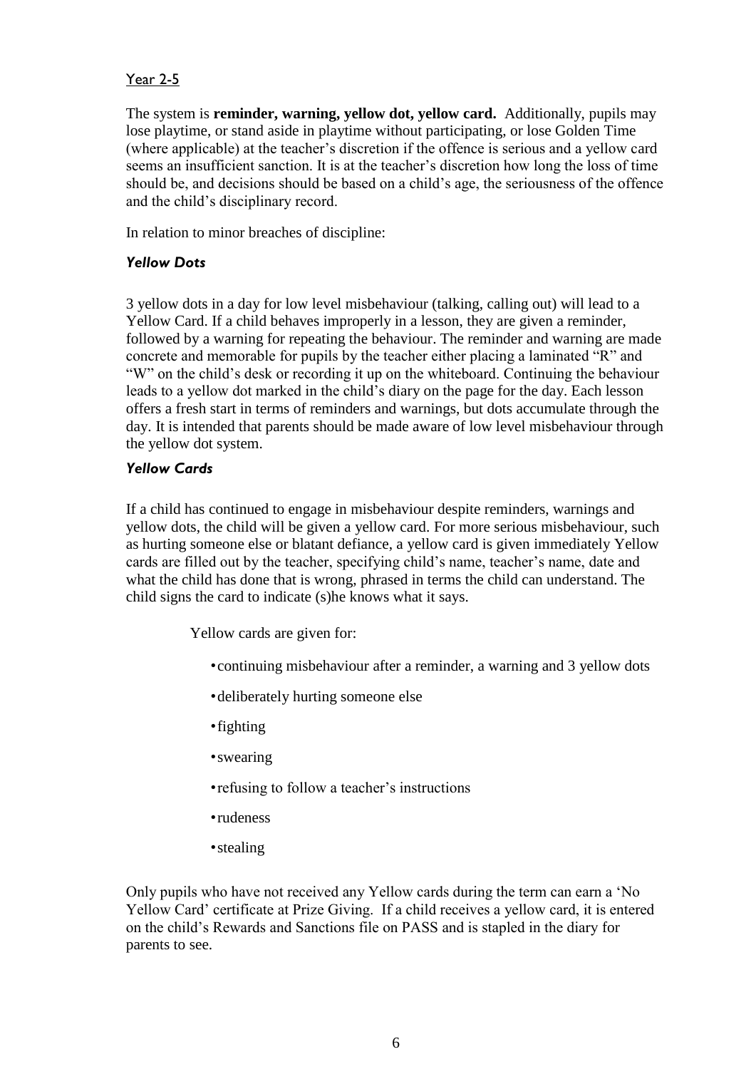### Year 2-5

The system is **reminder, warning, yellow dot, yellow card.** Additionally, pupils may lose playtime, or stand aside in playtime without participating, or lose Golden Time (where applicable) at the teacher's discretion if the offence is serious and a yellow card seems an insufficient sanction. It is at the teacher's discretion how long the loss of time should be, and decisions should be based on a child's age, the seriousness of the offence and the child's disciplinary record.

In relation to minor breaches of discipline:

#### *Yellow Dots*

3 yellow dots in a day for low level misbehaviour (talking, calling out) will lead to a Yellow Card. If a child behaves improperly in a lesson, they are given a reminder, followed by a warning for repeating the behaviour. The reminder and warning are made concrete and memorable for pupils by the teacher either placing a laminated "R" and "W" on the child's desk or recording it up on the whiteboard. Continuing the behaviour leads to a yellow dot marked in the child's diary on the page for the day. Each lesson offers a fresh start in terms of reminders and warnings, but dots accumulate through the day. It is intended that parents should be made aware of low level misbehaviour through the yellow dot system.

#### *Yellow Cards*

If a child has continued to engage in misbehaviour despite reminders, warnings and yellow dots, the child will be given a yellow card. For more serious misbehaviour, such as hurting someone else or blatant defiance, a yellow card is given immediately Yellow cards are filled out by the teacher, specifying child's name, teacher's name, date and what the child has done that is wrong, phrased in terms the child can understand. The child signs the card to indicate (s)he knows what it says.

Yellow cards are given for:

- •continuing misbehaviour after a reminder, a warning and 3 yellow dots
- •deliberately hurting someone else
- •fighting
- •swearing
- •refusing to follow a teacher's instructions
- •rudeness
- •stealing

Only pupils who have not received any Yellow cards during the term can earn a 'No Yellow Card' certificate at Prize Giving. If a child receives a yellow card, it is entered on the child's Rewards and Sanctions file on PASS and is stapled in the diary for parents to see.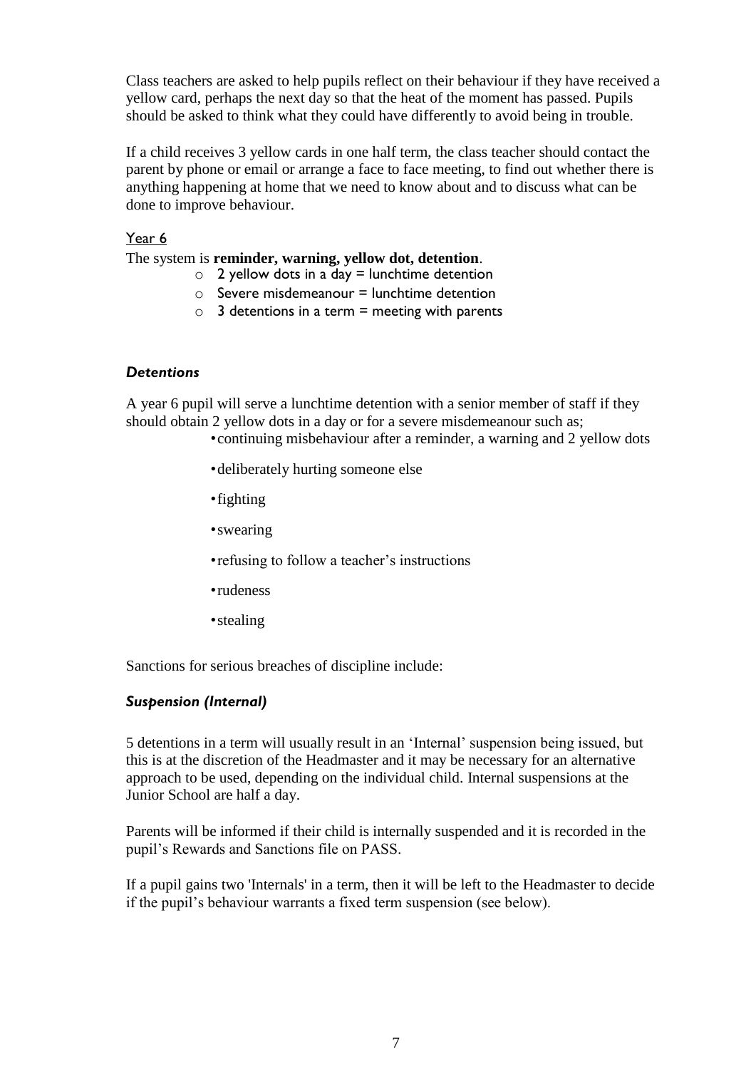Class teachers are asked to help pupils reflect on their behaviour if they have received a yellow card, perhaps the next day so that the heat of the moment has passed. Pupils should be asked to think what they could have differently to avoid being in trouble.

If a child receives 3 yellow cards in one half term, the class teacher should contact the parent by phone or email or arrange a face to face meeting, to find out whether there is anything happening at home that we need to know about and to discuss what can be done to improve behaviour.

#### Year 6

The system is **reminder, warning, yellow dot, detention**.

- $\circ$  2 yellow dots in a day = lunchtime detention
- $\circ$  Severe misdemeanour = lunchtime detention
- $\circ$  3 detentions in a term = meeting with parents

#### *Detentions*

A year 6 pupil will serve a lunchtime detention with a senior member of staff if they should obtain 2 yellow dots in a day or for a severe misdemeanour such as;

•continuing misbehaviour after a reminder, a warning and 2 yellow dots

- •deliberately hurting someone else
- •fighting
- •swearing
- •refusing to follow a teacher's instructions
- •rudeness
- •stealing

Sanctions for serious breaches of discipline include:

#### *Suspension (Internal)*

5 detentions in a term will usually result in an 'Internal' suspension being issued, but this is at the discretion of the Headmaster and it may be necessary for an alternative approach to be used, depending on the individual child. Internal suspensions at the Junior School are half a day.

Parents will be informed if their child is internally suspended and it is recorded in the pupil's Rewards and Sanctions file on PASS.

If a pupil gains two 'Internals' in a term, then it will be left to the Headmaster to decide if the pupil's behaviour warrants a fixed term suspension (see below).